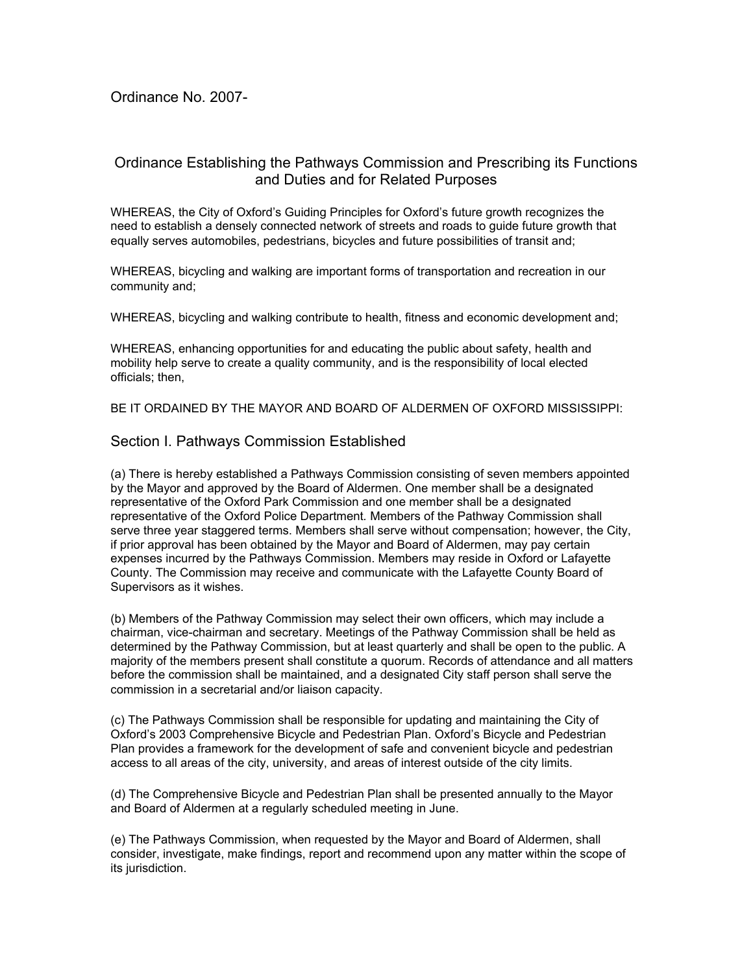## Ordinance No. 2007-

# Ordinance Establishing the Pathways Commission and Prescribing its Functions and Duties and for Related Purposes

WHEREAS, the City of Oxford's Guiding Principles for Oxford's future growth recognizes the need to establish a densely connected network of streets and roads to guide future growth that equally serves automobiles, pedestrians, bicycles and future possibilities of transit and;

WHEREAS, bicycling and walking are important forms of transportation and recreation in our community and;

WHEREAS, bicycling and walking contribute to health, fitness and economic development and;

WHEREAS, enhancing opportunities for and educating the public about safety, health and mobility help serve to create a quality community, and is the responsibility of local elected officials; then,

BE IT ORDAINED BY THE MAYOR AND BOARD OF ALDERMEN OF OXFORD MISSISSIPPI:

#### Section I. Pathways Commission Established

(a) There is hereby established a Pathways Commission consisting of seven members appointed by the Mayor and approved by the Board of Aldermen. One member shall be a designated representative of the Oxford Park Commission and one member shall be a designated representative of the Oxford Police Department*.* Members of the Pathway Commission shall serve three year staggered terms. Members shall serve without compensation; however, the City, if prior approval has been obtained by the Mayor and Board of Aldermen, may pay certain expenses incurred by the Pathways Commission. Members may reside in Oxford or Lafayette County. The Commission may receive and communicate with the Lafayette County Board of Supervisors as it wishes.

(b) Members of the Pathway Commission may select their own officers, which may include a chairman, vice-chairman and secretary. Meetings of the Pathway Commission shall be held as determined by the Pathway Commission, but at least quarterly and shall be open to the public. A majority of the members present shall constitute a quorum. Records of attendance and all matters before the commission shall be maintained, and a designated City staff person shall serve the commission in a secretarial and/or liaison capacity.

(c) The Pathways Commission shall be responsible for updating and maintaining the City of Oxford's 2003 Comprehensive Bicycle and Pedestrian Plan. Oxford's Bicycle and Pedestrian Plan provides a framework for the development of safe and convenient bicycle and pedestrian access to all areas of the city, university, and areas of interest outside of the city limits.

(d) The Comprehensive Bicycle and Pedestrian Plan shall be presented annually to the Mayor and Board of Aldermen at a regularly scheduled meeting in June.

(e) The Pathways Commission, when requested by the Mayor and Board of Aldermen, shall consider, investigate, make findings, report and recommend upon any matter within the scope of its jurisdiction.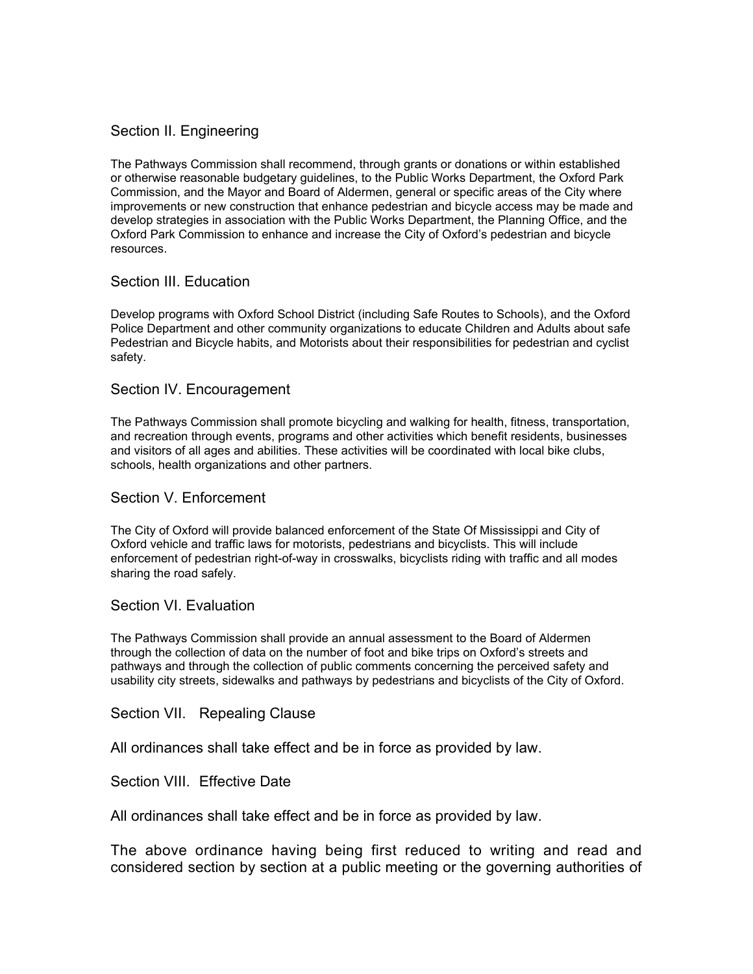# Section II. Engineering

The Pathways Commission shall recommend, through grants or donations or within established or otherwise reasonable budgetary guidelines, to the Public Works Department, the Oxford Park Commission, and the Mayor and Board of Aldermen, general or specific areas of the City where improvements or new construction that enhance pedestrian and bicycle access may be made and develop strategies in association with the Public Works Department, the Planning Office, and the Oxford Park Commission to enhance and increase the City of Oxford's pedestrian and bicycle resources.

### Section III. Education

Develop programs with Oxford School District (including Safe Routes to Schools), and the Oxford Police Department and other community organizations to educate Children and Adults about safe Pedestrian and Bicycle habits, and Motorists about their responsibilities for pedestrian and cyclist safety.

### Section IV. Encouragement

The Pathways Commission shall promote bicycling and walking for health, fitness, transportation, and recreation through events, programs and other activities which benefit residents, businesses and visitors of all ages and abilities. These activities will be coordinated with local bike clubs, schools, health organizations and other partners.

## Section V. Enforcement

The City of Oxford will provide balanced enforcement of the State Of Mississippi and City of Oxford vehicle and traffic laws for motorists, pedestrians and bicyclists. This will include enforcement of pedestrian right-of-way in crosswalks, bicyclists riding with traffic and all modes sharing the road safely.

### Section VI. Evaluation

The Pathways Commission shall provide an annual assessment to the Board of Aldermen through the collection of data on the number of foot and bike trips on Oxford's streets and pathways and through the collection of public comments concerning the perceived safety and usability city streets, sidewalks and pathways by pedestrians and bicyclists of the City of Oxford.

#### Section VII. Repealing Clause

All ordinances shall take effect and be in force as provided by law.

Section VIII. Effective Date

All ordinances shall take effect and be in force as provided by law.

The above ordinance having being first reduced to writing and read and considered section by section at a public meeting or the governing authorities of